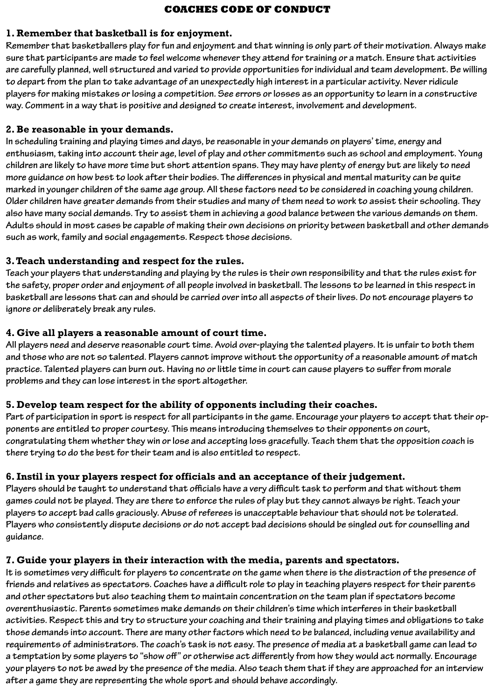### **COACHES CODE OF CONDUCT**

#### **1. Remember that basketball is for enjoyment.**

**Remember that basketballers play for fun and enjoyment and that winning is only part of their motivation. Always make sure that participants are made to feel welcome whenever they attend for training or a match. Ensure that activities are carefully planned, well structured and varied to provide opportunities for individual and team development. Be willing to depart from the plan to take advantage of an unexpectedly high interest in a particular activity. Never ridicule players for making mistakes or losing a competition. See errors or losses as an opportunity to learn in a constructive way. Comment in a way that is positive and designed to create interest, involvement and development.**

### **2. Be reasonable in your demands.**

**In scheduling training and playing times and days, be reasonable in your demands on players' time, energy and enthusiasm, taking into account their age, level of play and other commitments such as school and employment. Young children are likely to have more time but short attention spans. They may have plenty of energy but are likely to need more guidance on how best to look after their bodies. The differences in physical and mental maturity can be quite marked in younger children of the same age group. All these factors need to be considered in coaching young children. Older children have greater demands from their studies and many of them need to work to assist their schooling. They also have many social demands. Try to assist them in achieving a good balance between the various demands on them. Adults should in most cases be capable of making their own decisions on priority between basketball and other demands such as work, family and social engagements. Respect those decisions.**

### **3. Teach understanding and respect for the rules.**

**Teach your players that understanding and playing by the rules is their own responsibility and that the rules exist for the safety, proper order and enjoyment of all people involved in basketball. The lessons to be learned in this respect in basketball are lessons that can and should be carried over into all aspects of their lives. Do not encourage players to ignore or deliberately break any rules.**

#### **4. Give all players a reasonable amount of court time.**

**All players need and deserve reasonable court time. Avoid over-playing the talented players. It is unfair to both them and those who are not so talented. Players cannot improve without the opportunity of a reasonable amount of match practice. Talented players can burn out. Having no or little time in court can cause players to suffer from morale problems and they can lose interest in the sport altogether.**

#### **5. Develop team respect for the ability of opponents including their coaches.**

**Part of participation in sport is respect for all participants in the game. Encourage your players to accept that their opponents are entitled to proper courtesy. This means introducing themselves to their opponents on court, congratulating them whether they win or lose and accepting loss gracefully. Teach them that the opposition coach is there trying to do the best for their team and is also entitled to respect.**

### **6. Instil in your players respect for officials and an acceptance of their judgement.**

**Players should be taught to understand that officials have a very difficult task to perform and that without them games could not be played. They are there to enforce the rules of play but they cannot always be right. Teach your players to accept bad calls graciously. Abuse of referees is unacceptable behaviour that should not be tolerated. Players who consistently dispute decisions or do not accept bad decisions should be singled out for counselling and guidance.**

### **7. Guide your players in their interaction with the media, parents and spectators.**

**It is sometimes very difficult for players to concentrate on the game when there is the distraction of the presence of friends and relatives as spectators. Coaches have a difficult role to play in teaching players respect for their parents and other spectators but also teaching them to maintain concentration on the team plan if spectators become overenthusiastic. Parents sometimes make demands on their children's time which interferes in their basketball activities. Respect this and try to structure your coaching and their training and playing times and obligations to take those demands into account. There are many other factors which need to be balanced, including venue availability and requirements of administrators. The coach's task is not easy. The presence of media at a basketball game can lead to a temptation by some players to "show off" or otherwise act differently from how they would act normally. Encourage your players to not be awed by the presence of the media. Also teach them that if they are approached for an interview after a game they are representing the whole sport and should behave accordingly.**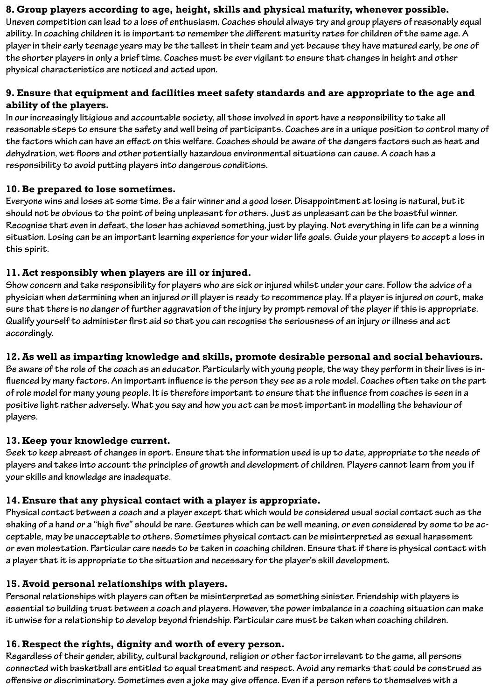### **8. Group players according to age, height, skills and physical maturity, whenever possible.**

**Uneven competition can lead to a loss of enthusiasm. Coaches should always try and group players of reasonably equal ability. In coaching children it is important to remember the different maturity rates for children of the same age. A player in their early teenage years may be the tallest in their team and yet because they have matured early, be one of the shorter players in only a brief time. Coaches must be ever vigilant to ensure that changes in height and other physical characteristics are noticed and acted upon.**

### **9. Ensure that equipment and facilities meet safety standards and are appropriate to the age and ability of the players.**

**In our increasingly litigious and accountable society, all those involved in sport have a responsibility to take all reasonable steps to ensure the safety and well being of participants. Coaches are in a unique position to control many of the factors which can have an effect on this welfare. Coaches should be aware of the dangers factors such as heat and dehydration, wet floors and other potentially hazardous environmental situations can cause. A coach has a responsibility to avoid putting players into dangerous conditions.**

### **10. Be prepared to lose sometimes.**

**Everyone wins and loses at some time. Be a fair winner and a good loser. Disappointment at losing is natural, but it should not be obvious to the point of being unpleasant for others. Just as unpleasant can be the boastful winner. Recognise that even in defeat, the loser has achieved something, just by playing. Not everything in life can be a winning situation. Losing can be an important learning experience for your wider life goals. Guide your players to accept a loss in this spirit.**

### **11. Act responsibly when players are ill or injured.**

**Show concern and take responsibility for players who are sick or injured whilst under your care. Follow the advice of a physician when determining when an injured or ill player is ready to recommence play. If a player is injured on court, make sure that there is no danger of further aggravation of the injury by prompt removal of the player if this is appropriate. Qualify yourself to administer first aid so that you can recognise the seriousness of an injury or illness and act accordingly.**

# **12. As well as imparting knowledge and skills, promote desirable personal and social behaviours.**

**Be aware of the role of the coach as an educator. Particularly with young people, the way they perform in their lives is influenced by many factors. An important influence is the person they see as a role model. Coaches often take on the part of role model for many young people. It is therefore important to ensure that the influence from coaches is seen in a positive light rather adversely. What you say and how you act can be most important in modelling the behaviour of players.**

### **13. Keep your knowledge current.**

**Seek to keep abreast of changes in sport. Ensure that the information used is up to date, appropriate to the needs of players and takes into account the principles of growth and development of children. Players cannot learn from you if your skills and knowledge are inadequate.**

# **14. Ensure that any physical contact with a player is appropriate.**

**Physical contact between a coach and a player except that which would be considered usual social contact such as the shaking of a hand or a "high five" should be rare. Gestures which can be well meaning, or even considered by some to be acceptable, may be unacceptable to others. Sometimes physical contact can be misinterpreted as sexual harassment or even molestation. Particular care needs to be taken in coaching children. Ensure that if there is physical contact with a player that it is appropriate to the situation and necessary for the player's skill development.**

### **15. Avoid personal relationships with players.**

**Personal relationships with players can often be misinterpreted as something sinister. Friendship with players is essential to building trust between a coach and players. However, the power imbalance in a coaching situation can make it unwise for a relationship to develop beyond friendship. Particular care must be taken when coaching children.**

### **16. Respect the rights, dignity and worth of every person.**

**Regardless of their gender, ability, cultural background, religion or other factor irrelevant to the game, all persons connected with basketball are entitled to equal treatment and respect. Avoid any remarks that could be construed as offensive or discriminatory. Sometimes even a joke may give offence. Even if a person refers to themselves with a**